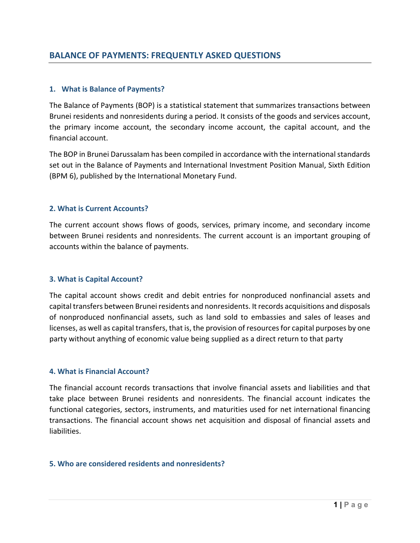### **1. What is Balance of Payments?**

The Balance of Payments (BOP) is a statistical statement that summarizes transactions between Brunei residents and nonresidents during a period. It consists of the goods and services account, the primary income account, the secondary income account, the capital account, and the financial account.

The BOP in Brunei Darussalam has been compiled in accordance with the international standards set out in the Balance of Payments and International Investment Position Manual, Sixth Edition (BPM 6), published by the International Monetary Fund.

### **2. What is Current Accounts?**

The current account shows flows of goods, services, primary income, and secondary income between Brunei residents and nonresidents. The current account is an important grouping of accounts within the balance of payments.

### **3. What is Capital Account?**

The capital account shows credit and debit entries for nonproduced nonfinancial assets and capital transfers between Brunei residents and nonresidents. It records acquisitions and disposals of nonproduced nonfinancial assets, such as land sold to embassies and sales of leases and licenses, as well as capital transfers, that is, the provision of resources for capital purposes by one party without anything of economic value being supplied as a direct return to that party

### **4. What is Financial Account?**

The financial account records transactions that involve financial assets and liabilities and that take place between Brunei residents and nonresidents. The financial account indicates the functional categories, sectors, instruments, and maturities used for net international financing transactions. The financial account shows net acquisition and disposal of financial assets and liabilities.

### **5. Who are considered residents and nonresidents?**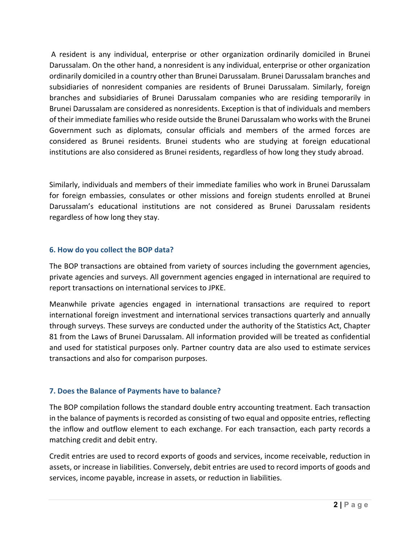A resident is any individual, enterprise or other organization ordinarily domiciled in Brunei Darussalam. On the other hand, a nonresident is any individual, enterprise or other organization ordinarily domiciled in a country other than Brunei Darussalam. Brunei Darussalam branches and subsidiaries of nonresident companies are residents of Brunei Darussalam. Similarly, foreign branches and subsidiaries of Brunei Darussalam companies who are residing temporarily in Brunei Darussalam are considered as nonresidents. Exception is that of individuals and members of their immediate families who reside outside the Brunei Darussalam who works with the Brunei Government such as diplomats, consular officials and members of the armed forces are considered as Brunei residents. Brunei students who are studying at foreign educational institutions are also considered as Brunei residents, regardless of how long they study abroad.

Similarly, individuals and members of their immediate families who work in Brunei Darussalam for foreign embassies, consulates or other missions and foreign students enrolled at Brunei Darussalam's educational institutions are not considered as Brunei Darussalam residents regardless of how long they stay.

# **6. How do you collect the BOP data?**

The BOP transactions are obtained from variety of sources including the government agencies, private agencies and surveys. All government agencies engaged in international are required to report transactions on international services to JPKE.

Meanwhile private agencies engaged in international transactions are required to report international foreign investment and international services transactions quarterly and annually through surveys. These surveys are conducted under the authority of the Statistics Act, Chapter 81 from the Laws of Brunei Darussalam. All information provided will be treated as confidential and used for statistical purposes only. Partner country data are also used to estimate services transactions and also for comparison purposes.

# **7. Does the Balance of Payments have to balance?**

The BOP compilation follows the standard double entry accounting treatment. Each transaction in the balance of payments is recorded as consisting of two equal and opposite entries, reflecting the inflow and outflow element to each exchange. For each transaction, each party records a matching credit and debit entry.

Credit entries are used to record exports of goods and services, income receivable, reduction in assets, or increase in liabilities. Conversely, debit entries are used to record imports of goods and services, income payable, increase in assets, or reduction in liabilities.